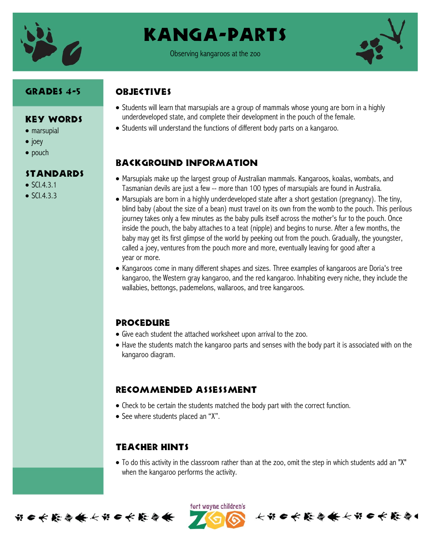

## Kanga-parts

Observing kangaroos at the zoo



#### Grades 4-5

### **OBJECTIVES**

- Key Words
- marsupial
- $\bullet$  joey
- pouch

#### Standards

- $\bullet$  SCI431
- $\bullet$  SCI.4.3.3
- Students will learn that marsupials are a group of mammals whose young are born in a highly underdeveloped state, and complete their development in the pouch of the female.
- Students will understand the functions of different body parts on a kangaroo.

#### Background information

- Marsupials make up the largest group of Australian mammals. Kangaroos, koalas, wombats, and Tasmanian devils are just a few -- more than 100 types of marsupials are found in Australia.
- Marsupials are born in a highly underdeveloped state after a short gestation (pregnancy). The tiny, blind baby (about the size of a bean) must travel on its own from the womb to the pouch. This perilous journey takes only a few minutes as the baby pulls itself across the mother's fur to the pouch. Once inside the pouch, the baby attaches to a teat (nipple) and begins to nurse. After a few months, the baby may get its first glimpse of the world by peeking out from the pouch. Gradually, the youngster, called a joey, ventures from the pouch more and more, eventually leaving for good after a year or more.
- Kangaroos come in many different shapes and sizes. Three examples of kangaroos are Doria's tree kangaroo, the Western gray kangaroo, and the red kangaroo. Inhabiting every niche, they include the wallabies, bettongs, pademelons, wallaroos, and tree kangaroos.

#### Procedure

- Give each student the attached worksheet upon arrival to the zoo.
- Have the students match the kangaroo parts and senses with the body part it is associated with on the kangaroo diagram.

#### Recommended assessment

- Check to be certain the students matched the body part with the correct function.
- See where students placed an "X".

#### Teacher Hints

• To do this activity in the classroom rather than at the zoo, omit the step in which students add an "X" when the kangaroo performs the activity.



ført wayne children's 长节日长能与长长节日长能与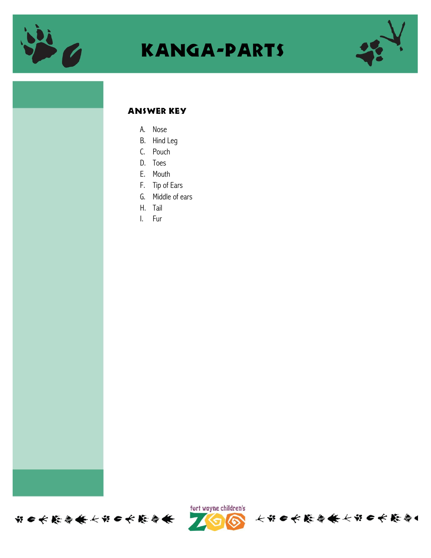

## Kanga-parts



#### Answer Key

- A. Nose
- B. Hind Leg
- C. Pouch
- D. Toes
- E. Mouth
- F. Tip of Ears
- G. Middle of ears
- H. Tail
- I. Fur





个出自大能停集大出自大能停。